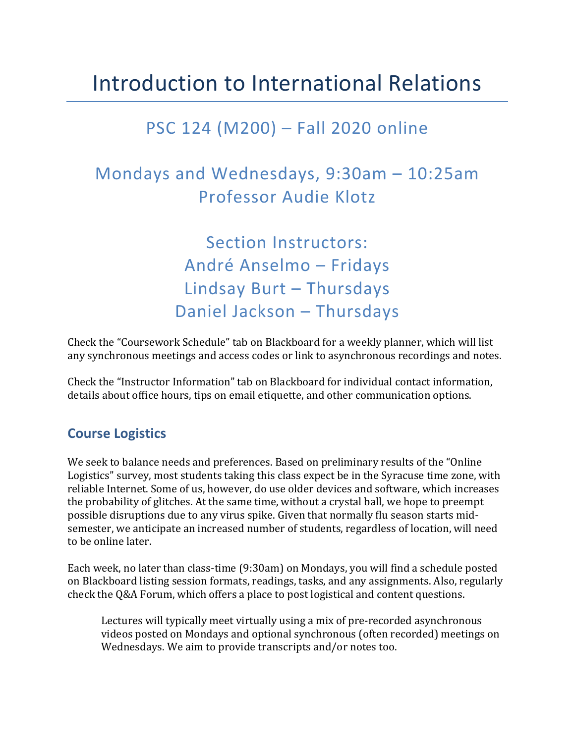# Introduction to International Relations

## PSC 124 (M200) – Fall 2020 online

## Mondays and Wednesdays,  $9:30$ am  $- 10:25$ am Professor Audie Klotz

Section Instructors: André Anselmo – Fridays Lindsay Burt – Thursdays Daniel Jackson - Thursdays

Check the "Coursework Schedule" tab on Blackboard for a weekly planner, which will list any synchronous meetings and access codes or link to asynchronous recordings and notes.

Check the "Instructor Information" tab on Blackboard for individual contact information, details about office hours, tips on email etiquette, and other communication options.

### **Course Logistics**

We seek to balance needs and preferences. Based on preliminary results of the "Online" Logistics" survey, most students taking this class expect be in the Syracuse time zone, with reliable Internet. Some of us, however, do use older devices and software, which increases the probability of glitches. At the same time, without a crystal ball, we hope to preempt possible disruptions due to any virus spike. Given that normally flu season starts midsemester, we anticipate an increased number of students, regardless of location, will need to be online later.

Each week, no later than class-time (9:30am) on Mondays, you will find a schedule posted on Blackboard listing session formats, readings, tasks, and any assignments. Also, regularly check the O&A Forum, which offers a place to post logistical and content questions.

Lectures will typically meet virtually using a mix of pre-recorded asynchronous videos posted on Mondays and optional synchronous (often recorded) meetings on Wednesdays. We aim to provide transcripts and/or notes too.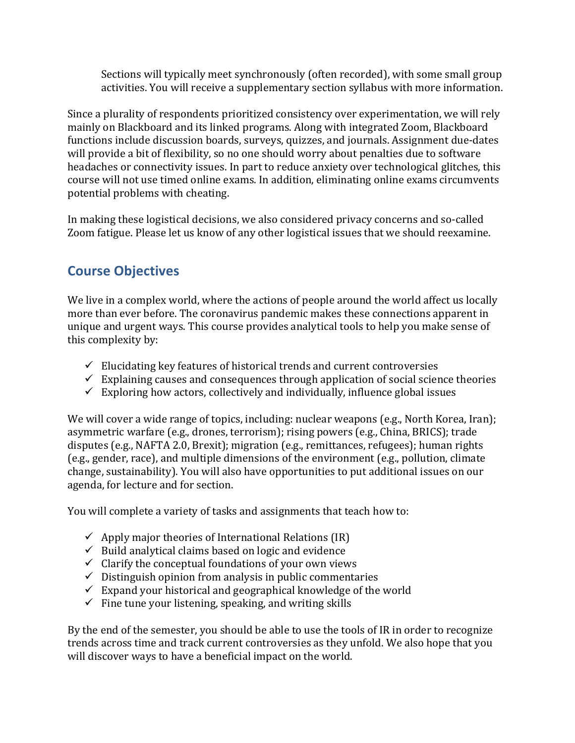Sections will typically meet synchronously (often recorded), with some small group activities. You will receive a supplementary section syllabus with more information.

Since a plurality of respondents prioritized consistency over experimentation, we will rely mainly on Blackboard and its linked programs. Along with integrated Zoom, Blackboard functions include discussion boards, surveys, quizzes, and journals. Assignment due-dates will provide a bit of flexibility, so no one should worry about penalties due to software headaches or connectivity issues. In part to reduce anxiety over technological glitches, this course will not use timed online exams. In addition, eliminating online exams circumvents potential problems with cheating.

In making these logistical decisions, we also considered privacy concerns and so-called Zoom fatigue. Please let us know of any other logistical issues that we should reexamine.

## **Course Objectives**

We live in a complex world, where the actions of people around the world affect us locally more than ever before. The coronavirus pandemic makes these connections apparent in unique and urgent ways. This course provides analytical tools to help you make sense of this complexity by:

- $\checkmark$  Elucidating key features of historical trends and current controversies
- $\checkmark$  Explaining causes and consequences through application of social science theories
- $\checkmark$  Exploring how actors, collectively and individually, influence global issues

We will cover a wide range of topics, including: nuclear weapons (e.g., North Korea, Iran); asymmetric warfare (e.g., drones, terrorism); rising powers (e.g., China, BRICS); trade disputes (e.g., NAFTA 2.0, Brexit); migration (e.g., remittances, refugees); human rights (e.g., gender, race), and multiple dimensions of the environment (e.g., pollution, climate change, sustainability). You will also have opportunities to put additional issues on our agenda, for lecture and for section.

You will complete a variety of tasks and assignments that teach how to:

- $\checkmark$  Apply major theories of International Relations (IR)
- $\checkmark$  Build analytical claims based on logic and evidence
- $\checkmark$  Clarify the conceptual foundations of your own views
- $\checkmark$  Distinguish opinion from analysis in public commentaries
- $\checkmark$  Expand your historical and geographical knowledge of the world
- $\checkmark$  Fine tune your listening, speaking, and writing skills

By the end of the semester, you should be able to use the tools of IR in order to recognize trends across time and track current controversies as they unfold. We also hope that you will discover ways to have a beneficial impact on the world.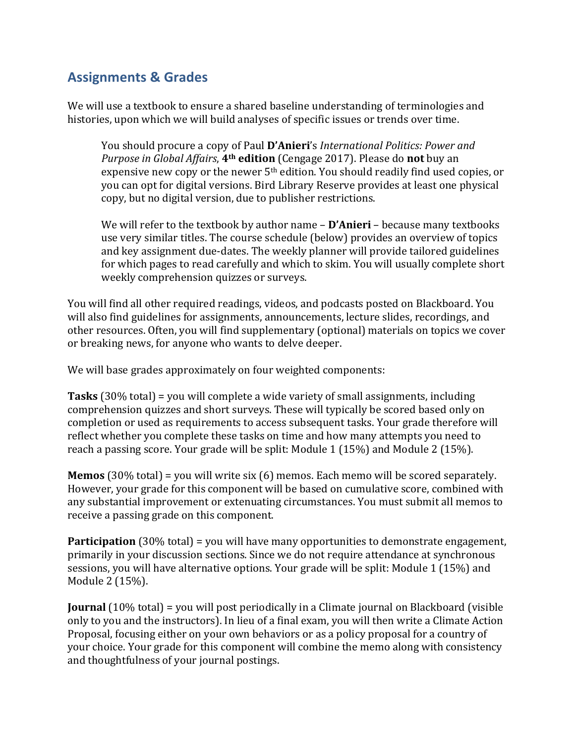## **Assignments & Grades**

We will use a textbook to ensure a shared baseline understanding of terminologies and histories, upon which we will build analyses of specific issues or trends over time.

You should procure a copy of Paul D'Anieri's *International Politics: Power and Purpose in Global Affairs*, 4<sup>th</sup> edition (Cengage 2017). Please do not buy an expensive new copy or the newer  $5<sup>th</sup>$  edition. You should readily find used copies, or you can opt for digital versions. Bird Library Reserve provides at least one physical copy, but no digital version, due to publisher restrictions.

We will refer to the textbook by author name - **D'Anieri** - because many textbooks use very similar titles. The course schedule (below) provides an overview of topics and key assignment due-dates. The weekly planner will provide tailored guidelines for which pages to read carefully and which to skim. You will usually complete short weekly comprehension quizzes or surveys.

You will find all other required readings, videos, and podcasts posted on Blackboard. You will also find guidelines for assignments, announcements, lecture slides, recordings, and other resources. Often, you will find supplementary (optional) materials on topics we cover or breaking news, for anyone who wants to delve deeper.

We will base grades approximately on four weighted components:

**Tasks** (30% total) = you will complete a wide variety of small assignments, including comprehension quizzes and short surveys. These will typically be scored based only on completion or used as requirements to access subsequent tasks. Your grade therefore will reflect whether you complete these tasks on time and how many attempts you need to reach a passing score. Your grade will be split: Module  $1(15%)$  and Module  $2(15%)$ .

**Memos** (30% total) = you will write six (6) memos. Each memo will be scored separately. However, your grade for this component will be based on cumulative score, combined with any substantial improvement or extenuating circumstances. You must submit all memos to receive a passing grade on this component.

**Participation** (30% total) = you will have many opportunities to demonstrate engagement, primarily in your discussion sections. Since we do not require attendance at synchronous sessions, you will have alternative options. Your grade will be split: Module 1 (15%) and Module 2 (15%).

**Journal** (10% total) = you will post periodically in a Climate journal on Blackboard (visible only to you and the instructors). In lieu of a final exam, you will then write a Climate Action Proposal, focusing either on your own behaviors or as a policy proposal for a country of your choice. Your grade for this component will combine the memo along with consistency and thoughtfulness of your journal postings.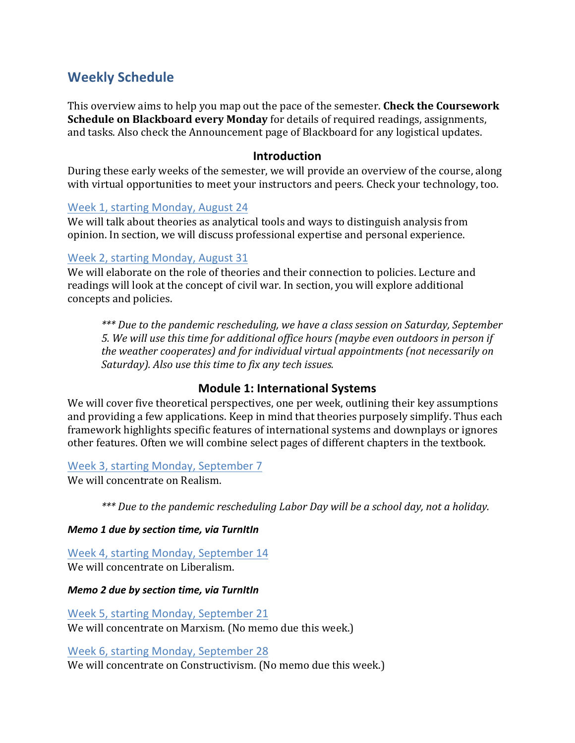### **Weekly Schedule**

This overview aims to help you map out the pace of the semester. **Check the Coursework Schedule on Blackboard every Monday** for details of required readings, assignments, and tasks. Also check the Announcement page of Blackboard for any logistical updates.

#### **Introduction**

During these early weeks of the semester, we will provide an overview of the course, along with virtual opportunities to meet your instructors and peers. Check your technology, too.

#### Week 1, starting Monday, August 24

We will talk about theories as analytical tools and ways to distinguish analysis from opinion. In section, we will discuss professional expertise and personal experience.

#### Week 2, starting Monday, August 31

We will elaborate on the role of theories and their connection to policies. Lecture and readings will look at the concept of civil war. In section, you will explore additional concepts and policies.

*\*\*\* Due to the pandemic rescheduling, we have a class session on Saturday, September 5. We will use this time for additional office hours (maybe even outdoors in person if the* weather cooperates) and for individual virtual appointments (not necessarily on *Saturday*). Also use this time to fix any tech issues.

#### **Module 1: International Systems**

We will cover five theoretical perspectives, one per week, outlining their key assumptions and providing a few applications. Keep in mind that theories purposely simplify. Thus each framework highlights specific features of international systems and downplays or ignores other features. Often we will combine select pages of different chapters in the textbook.

#### Week 3, starting Monday, September 7

We will concentrate on Realism.

*\*\*\* Due to the pandemic rescheduling Labor Day will be a school day, not a holiday.*

#### *Memo 1 due by section time, via TurnItIn*

Week 4, starting Monday, September 14 We will concentrate on Liberalism.

*Memo 2 due by section time, via TurnItIn*

Week 5, starting Monday, September 21 We will concentrate on Marxism. (No memo due this week.)

Week 6, starting Monday, September 28 We will concentrate on Constructivism. (No memo due this week.)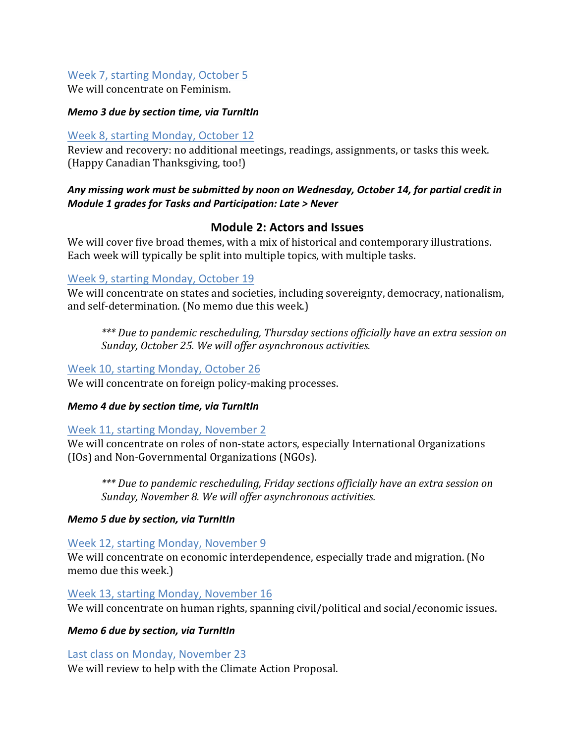#### Week 7, starting Monday, October 5

We will concentrate on Feminism.

#### *Memo 3 due by section time, via TurnItIn*

#### Week 8, starting Monday, October 12

Review and recovery: no additional meetings, readings, assignments, or tasks this week. (Happy Canadian Thanksgiving, too!)

#### Any missing work must be submitted by noon on Wednesday, October 14, for partial credit in *Module 1 grades for Tasks and Participation: Late > Never*

#### **Module 2: Actors and Issues**

We will cover five broad themes, with a mix of historical and contemporary illustrations. Each week will typically be split into multiple topics, with multiple tasks.

#### Week 9, starting Monday, October 19

We will concentrate on states and societies, including sovereignty, democracy, nationalism, and self-determination. (No memo due this week.)

\*\*\* Due to pandemic rescheduling, *Thursday sections officially have an extra session on* Sunday, October 25. We will offer asynchronous activities.

#### Week 10, starting Monday, October 26

We will concentrate on foreign policy-making processes.

#### *Memo 4 due by section time, via TurnItIn*

#### Week 11, starting Monday, November 2

We will concentrate on roles of non-state actors, especially International Organizations (IOs) and Non-Governmental Organizations (NGOs). 

\*\*\* Due to pandemic rescheduling, Friday sections officially have an extra session on Sunday, November 8. We will offer asynchronous activities.

#### *Memo 5 due by section, via TurnItIn*

#### Week 12, starting Monday, November 9

We will concentrate on economic interdependence, especially trade and migration. (No memo due this week.)

#### Week 13, starting Monday, November 16

We will concentrate on human rights, spanning civil/political and social/economic issues.

#### *Memo 6 due by section, via TurnItIn*

#### Last class on Monday, November 23

We will review to help with the Climate Action Proposal.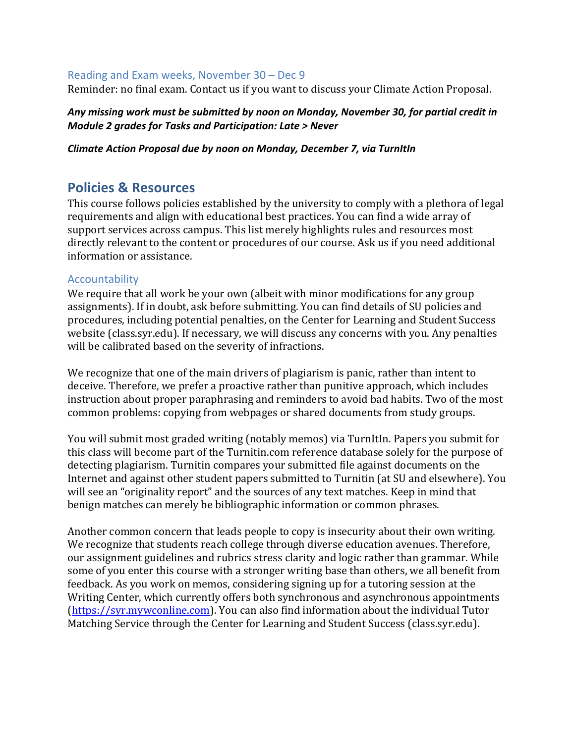#### Reading and Exam weeks, November  $30 - Dec9$

Reminder: no final exam. Contact us if you want to discuss your Climate Action Proposal.

#### Any missing work must be submitted by noon on Monday, November 30, for partial credit in *Module 2 grades for Tasks and Participation: Late > Never*

#### *Climate Action Proposal due by noon on Monday, December 7, via TurnItIn*

#### **Policies & Resources**

This course follows policies established by the university to comply with a plethora of legal requirements and align with educational best practices. You can find a wide array of support services across campus. This list merely highlights rules and resources most directly relevant to the content or procedures of our course. Ask us if you need additional information or assistance.

#### Accountability

We require that all work be your own (albeit with minor modifications for any group assignments). If in doubt, ask before submitting. You can find details of SU policies and procedures, including potential penalties, on the Center for Learning and Student Success website (class.syr.edu). If necessary, we will discuss any concerns with you. Any penalties will be calibrated based on the severity of infractions.

We recognize that one of the main drivers of plagiarism is panic, rather than intent to deceive. Therefore, we prefer a proactive rather than punitive approach, which includes instruction about proper paraphrasing and reminders to avoid bad habits. Two of the most common problems: copying from webpages or shared documents from study groups.

You will submit most graded writing (notably memos) via TurnItIn. Papers you submit for this class will become part of the Turnitin.com reference database solely for the purpose of detecting plagiarism. Turnitin compares your submitted file against documents on the Internet and against other student papers submitted to Turnitin (at SU and elsewhere). You will see an "originality report" and the sources of any text matches. Keep in mind that benign matches can merely be bibliographic information or common phrases.

Another common concern that leads people to copy is insecurity about their own writing. We recognize that students reach college through diverse education avenues. Therefore, our assignment guidelines and rubrics stress clarity and logic rather than grammar. While some of you enter this course with a stronger writing base than others, we all benefit from feedback. As you work on memos, considering signing up for a tutoring session at the Writing Center, which currently offers both synchronous and asynchronous appointments (https://syr.mywconline.com). You can also find information about the individual Tutor Matching Service through the Center for Learning and Student Success (class.syr.edu).